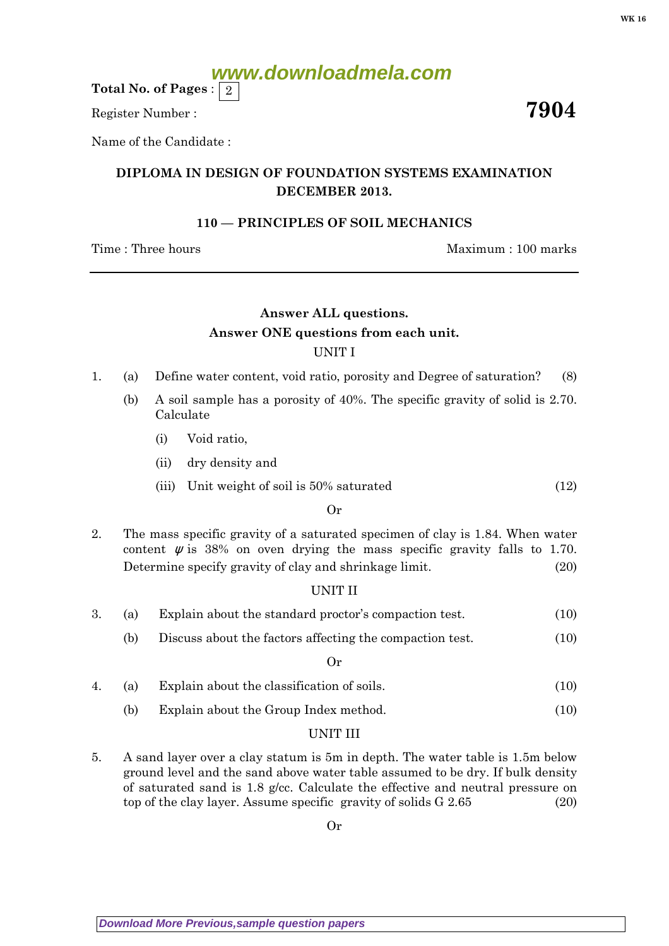# **www.downloadmela.com**

Total No. of Pages :  $\mid 2 \rangle$ 

Register Number :  $\overline{7904}$ 

Name of the Candidate :

## DIPLOMA IN DESIGN OF FOUNDATION SYSTEMS EXAMINATION DECEMBER 2013.

## 110 — PRINCIPLES OF SOIL MECHANICS

Time : Three hours and the matter of the Maximum : 100 marks

# Answer ALL questions. Answer ONE questions from each unit. UNIT I

- 1. (a) Define water content, void ratio, porosity and Degree of saturation? (8)
	- (b) A soil sample has a porosity of 40%. The specific gravity of solid is 2.70. Calculate
		- (i) Void ratio,
		- (ii) dry density and
		- (iii) Unit weight of soil is  $50\%$  saturated (12)

#### Or

2. The mass specific gravity of a saturated specimen of clay is 1.84. When water content  $\psi$  is 38% on oven drying the mass specific gravity falls to 1.70. Determine specify gravity of clay and shrinkage limit. (20)

### UNIT II

- 3. (a) Explain about the standard proctor's compaction test. (10)
	- (b) Discuss about the factors affecting the compaction test. (10)

#### Or

- 4. (a) Explain about the classification of soils. (10)
	- (b) Explain about the Group Index method. (10)

### UNIT III

5. A sand layer over a clay statum is 5m in depth. The water table is 1.5m below ground level and the sand above water table assumed to be dry. If bulk density of saturated sand is 1.8 g/cc. Calculate the effective and neutral pressure on top of the clay layer. Assume specific gravity of solids G 2.65 (20)

Or